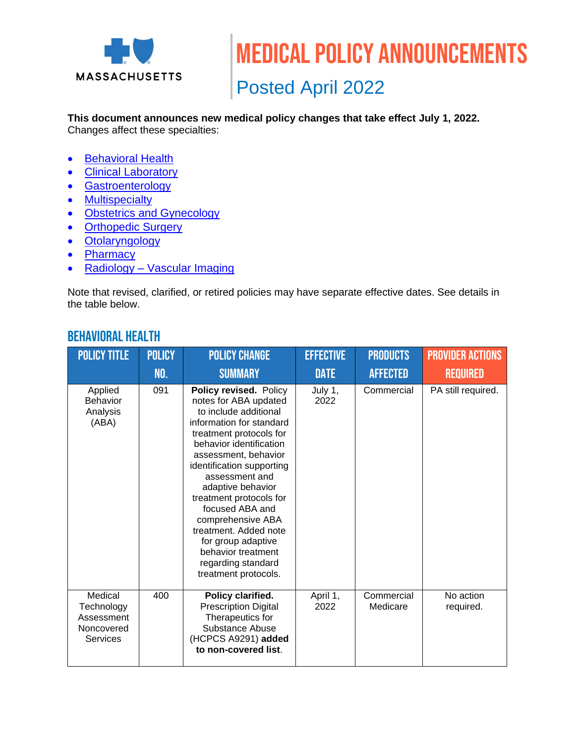

Posted April 2022

#### **This document announces new medical policy changes that take effect July 1, 2022.**

Changes affect these specialties:

- [Behavioral Health](#page-0-0)
- [Clinical Laboratory](#page-1-0)
- [Gastroenterology](#page-1-1)
- [Multispecialty](#page-1-1)
- [Obstetrics and Gynecology](#page-1-2)
- [Orthopedic Surgery](#page-2-0)
- [Otolaryngology](#page-2-1)
- [Pharmacy](#page-3-0)
- Radiology [Vascular Imaging](#page-3-1)

Note that revised, clarified, or retired policies may have separate effective dates. See details in the table below.

| <b>POLICY TITLE</b>                                                  | <b>POLICY</b> | <b>POLICY CHANGE</b>                                                                                                                                                                                                                                                                                                                                                                                                                         | <b>EFFECTIVE</b> | <b>PRODUCTS</b>        | <b>PROVIDER ACTIONS</b> |
|----------------------------------------------------------------------|---------------|----------------------------------------------------------------------------------------------------------------------------------------------------------------------------------------------------------------------------------------------------------------------------------------------------------------------------------------------------------------------------------------------------------------------------------------------|------------------|------------------------|-------------------------|
|                                                                      | NO.           | <b>SUMMARY</b>                                                                                                                                                                                                                                                                                                                                                                                                                               | <b>DATE</b>      | <b>AFFECTED</b>        | <b>REQUIRED</b>         |
| Applied<br>Behavior<br>Analysis<br>(ABA)                             | 091           | Policy revised. Policy<br>notes for ABA updated<br>to include additional<br>information for standard<br>treatment protocols for<br>behavior identification<br>assessment, behavior<br>identification supporting<br>assessment and<br>adaptive behavior<br>treatment protocols for<br>focused ABA and<br>comprehensive ABA<br>treatment. Added note<br>for group adaptive<br>behavior treatment<br>regarding standard<br>treatment protocols. | July 1,<br>2022  | Commercial             | PA still required.      |
| Medical<br>Technology<br>Assessment<br>Noncovered<br><b>Services</b> | 400           | Policy clarified.<br><b>Prescription Digital</b><br>Therapeutics for<br>Substance Abuse<br>(HCPCS A9291) added<br>to non-covered list.                                                                                                                                                                                                                                                                                                       | April 1,<br>2022 | Commercial<br>Medicare | No action<br>required.  |

### <span id="page-0-0"></span>Behavioral health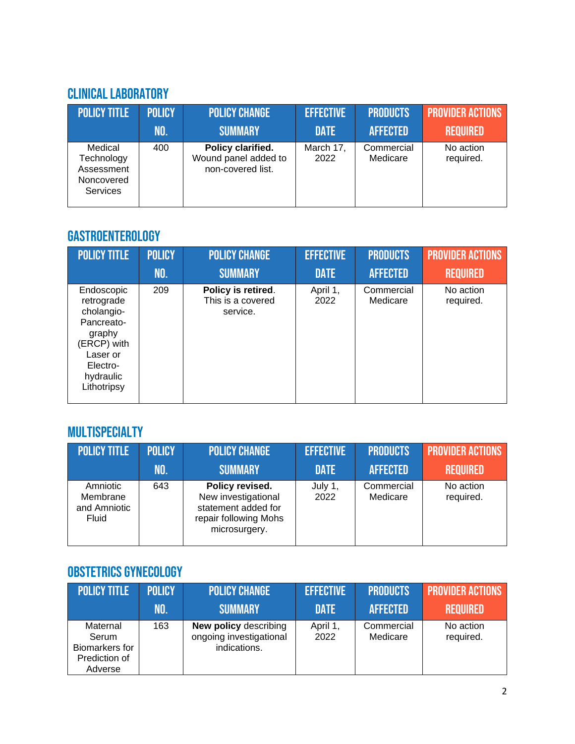## <span id="page-1-0"></span>Clinical Laboratory

| <b>POLICY TITLE</b>                                                  | <b>POLICY</b> | <b>POLICY CHANGE</b>                                           | <b>EFFECTIVE</b>  | <b>PRODUCTS</b>        | <b>PROVIDER ACTIONS</b> |
|----------------------------------------------------------------------|---------------|----------------------------------------------------------------|-------------------|------------------------|-------------------------|
|                                                                      | INO.          | <b>SUMMARY</b>                                                 | <b>DATE</b>       | <b>AFFECTED</b>        | <b>REQUIRED</b>         |
| Medical<br>Technology<br>Assessment<br>Noncovered<br><b>Services</b> | 400           | Policy clarified.<br>Wound panel added to<br>non-covered list. | March 17,<br>2022 | Commercial<br>Medicare | No action<br>required.  |

# <span id="page-1-1"></span>Gastroenterology

| <b>POLICY TITLE</b>                                                                                                               | <b>POLICY</b><br>NO. | <b>POLICY CHANGE</b><br><b>SUMMARY</b>              | <b>EFFECTIVE</b><br><b>DATE</b> | <b>PRODUCTS</b><br><b>AFFECTED</b> | <b>PROVIDER ACTIONS</b><br><b>REQUIRED</b> |
|-----------------------------------------------------------------------------------------------------------------------------------|----------------------|-----------------------------------------------------|---------------------------------|------------------------------------|--------------------------------------------|
|                                                                                                                                   |                      |                                                     |                                 |                                    |                                            |
| Endoscopic<br>retrograde<br>cholangio-<br>Pancreato-<br>graphy<br>(ERCP) with<br>Laser or<br>Electro-<br>hydraulic<br>Lithotripsy | 209                  | Policy is retired.<br>This is a covered<br>service. | April 1,<br>2022                | Commercial<br>Medicare             | No action<br>required.                     |

# **MULTISPECIALTY**

| <b>POLICY TITLE</b>                                  | <b>POLICY</b> | <b>POLICY CHANGE</b>                                                                                    | <b>EFFECTIVE</b> | <b>PRODUCTS</b>        | <b>PROVIDER ACTIONS</b> |
|------------------------------------------------------|---------------|---------------------------------------------------------------------------------------------------------|------------------|------------------------|-------------------------|
|                                                      | MO.           | <b>SUMMARY</b>                                                                                          | <b>DATE</b>      | <b>AFFECTED</b>        | <b>REQUIRED</b>         |
| Amniotic<br>Membrane<br>and Amniotic<br><b>Fluid</b> | 643           | Policy revised.<br>New investigational<br>statement added for<br>repair following Mohs<br>microsurgery. | July 1,<br>2022  | Commercial<br>Medicare | No action<br>required.  |

# <span id="page-1-2"></span>Obstetrics Gynecology

| <b>POLICY TITLE</b>                                             | <b>POLICY</b> | <b>POLICY CHANGE</b>                                                    | <b>EFFECTIVE</b> | <b>PRODUCTS</b>        | <b>PROVIDER ACTIONS</b> |
|-----------------------------------------------------------------|---------------|-------------------------------------------------------------------------|------------------|------------------------|-------------------------|
|                                                                 | NO.           | <b>SUMMARY</b>                                                          | <b>DATE</b>      | <b>AFFECTED</b>        | <b>REQUIRED</b>         |
| Maternal<br>Serum<br>Biomarkers for<br>Prediction of<br>Adverse | 163           | <b>New policy describing</b><br>ongoing investigational<br>indications. | April 1<br>2022  | Commercial<br>Medicare | No action<br>required.  |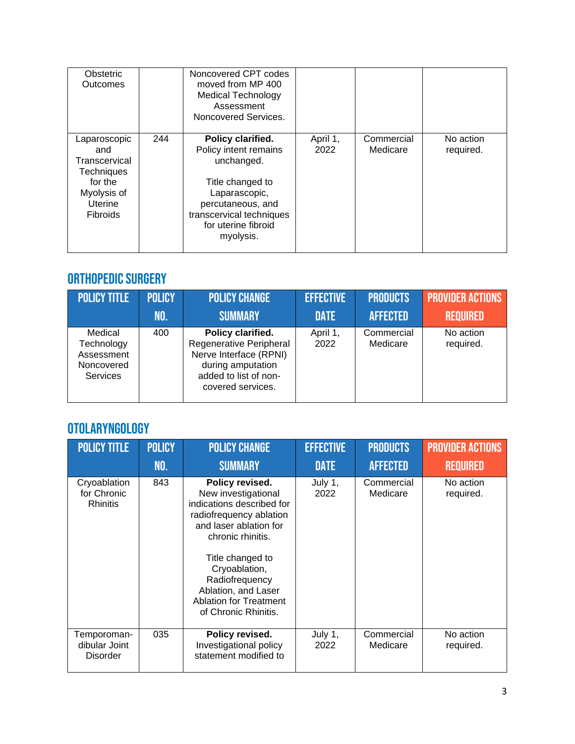| Obstetric<br>Outcomes                                                                                      |     | Noncovered CPT codes<br>moved from MP 400<br><b>Medical Technology</b><br>Assessment<br>Noncovered Services.                                                                       |                  |                        |                        |
|------------------------------------------------------------------------------------------------------------|-----|------------------------------------------------------------------------------------------------------------------------------------------------------------------------------------|------------------|------------------------|------------------------|
| Laparoscopic<br>and<br>Transcervical<br><b>Techniques</b><br>for the<br>Myolysis of<br>Uterine<br>Fibroids | 244 | Policy clarified.<br>Policy intent remains<br>unchanged.<br>Title changed to<br>Laparascopic,<br>percutaneous, and<br>transcervical techniques<br>for uterine fibroid<br>myolysis. | April 1,<br>2022 | Commercial<br>Medicare | No action<br>required. |

## <span id="page-2-0"></span>ORTHOPEDIC SURGERY

| <b>POLICY TITLE</b>                                                  | <b>POLICY</b> | <b>POLICY CHANGE</b>                                                                                                                      | <b>EFFECTIVE</b> | <b>PRODUCTS</b>        | <b>PROVIDER ACTIONS</b> |
|----------------------------------------------------------------------|---------------|-------------------------------------------------------------------------------------------------------------------------------------------|------------------|------------------------|-------------------------|
|                                                                      | NO.           | <b>SUMMARY</b>                                                                                                                            | <b>DATE</b>      | <b>AFFECTED</b>        | <b>REQUIRED</b>         |
| Medical<br>Technology<br>Assessment<br>Noncovered<br><b>Services</b> | 400           | Policy clarified.<br>Regenerative Peripheral<br>Nerve Interface (RPNI)<br>during amputation<br>added to list of non-<br>covered services. | April 1,<br>2022 | Commercial<br>Medicare | No action<br>required.  |

## <span id="page-2-1"></span>Otolaryngology

| <b>POLICY TITLE</b>                             | <b>POLICY</b> | <b>POLICY CHANGE</b>                                                                                                                                                                                                                                                                 | <b>EFFECTIVE</b> | <b>PRODUCTS</b>        | <b>PROVIDER ACTIONS</b> |
|-------------------------------------------------|---------------|--------------------------------------------------------------------------------------------------------------------------------------------------------------------------------------------------------------------------------------------------------------------------------------|------------------|------------------------|-------------------------|
|                                                 | <b>NO.</b>    | <b>SUMMARY</b>                                                                                                                                                                                                                                                                       | <b>DATE</b>      | <b>AFFECTED</b>        | <b>REQUIRED</b>         |
| Cryoablation<br>for Chronic<br><b>Rhinitis</b>  | 843           | Policy revised.<br>New investigational<br>indications described for<br>radiofrequency ablation<br>and laser ablation for<br>chronic rhinitis.<br>Title changed to<br>Cryoablation,<br>Radiofrequency<br>Ablation, and Laser<br><b>Ablation for Treatment</b><br>of Chronic Rhinitis. | July 1,<br>2022  | Commercial<br>Medicare | No action<br>required.  |
| Temporoman-<br>dibular Joint<br><b>Disorder</b> | 035           | Policy revised.<br>Investigational policy<br>statement modified to                                                                                                                                                                                                                   | July 1,<br>2022  | Commercial<br>Medicare | No action<br>required.  |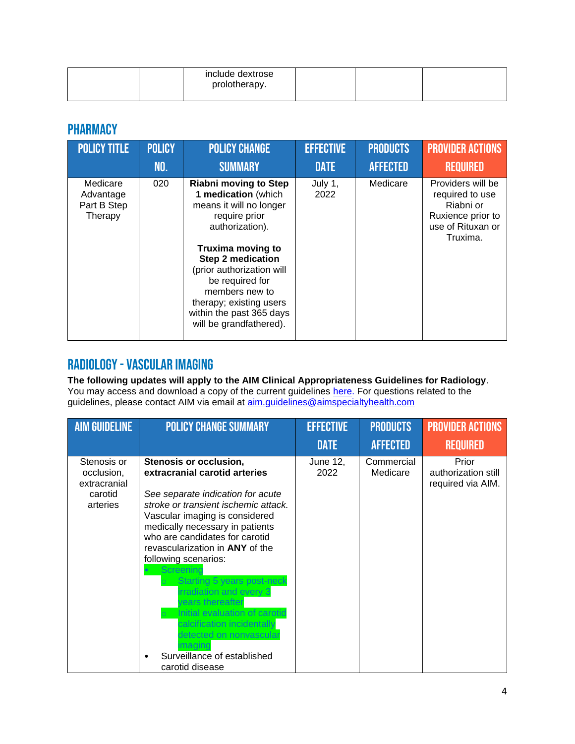| include dextrose<br>prolotherapy. |  |  |
|-----------------------------------|--|--|
|                                   |  |  |

## <span id="page-3-0"></span>**PHARMACY**

| <b>POLICY TITLE</b>                             | <b>POLICY</b> | <b>POLICY CHANGE</b>                                                                                                                                                                                                                                                                                                           | <b>EFFECTIVE</b> | <b>PRODUCTS</b> | <b>PROVIDER ACTIONS</b>                                                                                 |
|-------------------------------------------------|---------------|--------------------------------------------------------------------------------------------------------------------------------------------------------------------------------------------------------------------------------------------------------------------------------------------------------------------------------|------------------|-----------------|---------------------------------------------------------------------------------------------------------|
|                                                 | <b>NO.</b>    | <b>SUMMARY</b>                                                                                                                                                                                                                                                                                                                 | <b>DATE</b>      | <b>AFFECTED</b> | <b>REQUIRED</b>                                                                                         |
| Medicare<br>Advantage<br>Part B Step<br>Therapy | 020           | <b>Riabni moving to Step</b><br>1 medication (which<br>means it will no longer<br>require prior<br>authorization).<br><b>Truxima moving to</b><br><b>Step 2 medication</b><br>(prior authorization will<br>be required for<br>members new to<br>therapy; existing users<br>within the past 365 days<br>will be grandfathered). | July 1,<br>2022  | Medicare        | Providers will be<br>required to use<br>Riabni or<br>Ruxience prior to<br>use of Rituxan or<br>Truxima. |

## <span id="page-3-1"></span>Radiology-Vascular imaging

**The following updates will apply to the AIM Clinical Appropriateness Guidelines for Radiology**. You may access and download a copy of the current guidelines [here.](https://aimspecialtyhealth.com/resources/clinical-guidelines/radiology/) For questions related to the guidelines, please contact AIM via email at <u>aim.guidelines@aimspecialtyhealth.com</u>

| <b>AIM GUIDELINE</b>                                             | <b>POLICY CHANGE SUMMARY</b>                                                                                                                                                                                                                                                                                                                                                                                                                                                                                                | <b>EFFECTIVE</b> | <b>PRODUCTS</b>        | <b>PROVIDER ACTIONS</b>                           |
|------------------------------------------------------------------|-----------------------------------------------------------------------------------------------------------------------------------------------------------------------------------------------------------------------------------------------------------------------------------------------------------------------------------------------------------------------------------------------------------------------------------------------------------------------------------------------------------------------------|------------------|------------------------|---------------------------------------------------|
|                                                                  |                                                                                                                                                                                                                                                                                                                                                                                                                                                                                                                             | <b>DATE</b>      | <b>AFFECTED</b>        | <b>REQUIRED</b>                                   |
| Stenosis or<br>occlusion,<br>extracranial<br>carotid<br>arteries | Stenosis or occlusion,<br>extracranial carotid arteries<br>See separate indication for acute<br>stroke or transient ischemic attack.<br>Vascular imaging is considered<br>medically necessary in patients<br>who are candidates for carotid<br>revascularization in ANY of the<br>following scenarios:<br>Starting 5 years post-neck<br>rradiation and every 3<br>ears thereafter<br>Initial evaluation of carotid<br>calcification incidentally<br>etected on nonvascula<br>Surveillance of established<br>carotid disease | June 12,<br>2022 | Commercial<br>Medicare | Prior<br>authorization still<br>required via AIM. |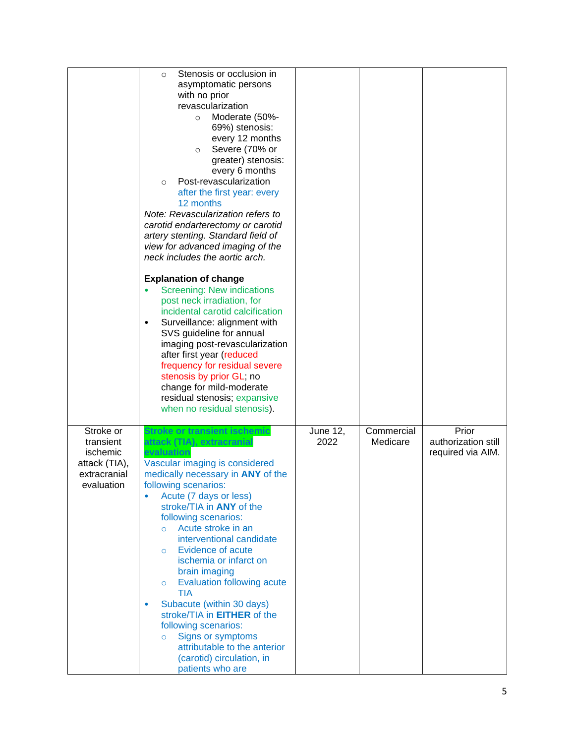|                                                                                   | Stenosis or occlusion in<br>$\circ$<br>asymptomatic persons<br>with no prior<br>revascularization<br>Moderate (50%-<br>$\circ$<br>69%) stenosis:<br>every 12 months<br>Severe (70% or<br>$\circ$<br>greater) stenosis:<br>every 6 months<br>Post-revascularization<br>$\circ$<br>after the first year: every<br>12 months<br>Note: Revascularization refers to<br>carotid endarterectomy or carotid<br>artery stenting. Standard field of<br>view for advanced imaging of the<br>neck includes the aortic arch.<br><b>Explanation of change</b><br><b>Screening: New indications</b><br>post neck irradiation, for<br>incidental carotid calcification<br>Surveillance: alignment with<br>$\bullet$<br>SVS guideline for annual<br>imaging post-revascularization<br>after first year (reduced<br>frequency for residual severe<br>stenosis by prior GL; no<br>change for mild-moderate<br>residual stenosis; expansive<br>when no residual stenosis). |                         |                        |                                                   |
|-----------------------------------------------------------------------------------|--------------------------------------------------------------------------------------------------------------------------------------------------------------------------------------------------------------------------------------------------------------------------------------------------------------------------------------------------------------------------------------------------------------------------------------------------------------------------------------------------------------------------------------------------------------------------------------------------------------------------------------------------------------------------------------------------------------------------------------------------------------------------------------------------------------------------------------------------------------------------------------------------------------------------------------------------------|-------------------------|------------------------|---------------------------------------------------|
| Stroke or<br>transient<br>ischemic<br>attack (TIA),<br>extracranial<br>evaluation | Stroke or transient ischemic<br>attack (TIA), extracranial<br>evaluation<br>Vascular imaging is considered<br>medically necessary in ANY of the<br>following scenarios:<br>Acute (7 days or less)<br>٠<br>stroke/TIA in <b>ANY</b> of the<br>following scenarios:<br>Acute stroke in an<br>$\circ$<br>interventional candidate<br><b>Evidence of acute</b><br>$\circ$<br>ischemia or infarct on<br>brain imaging<br><b>Evaluation following acute</b><br>$\circ$<br><b>TIA</b><br>Subacute (within 30 days)<br>۰<br>stroke/TIA in <b>EITHER</b> of the<br>following scenarios:<br>Signs or symptoms<br>$\circ$<br>attributable to the anterior<br>(carotid) circulation, in<br>patients who are                                                                                                                                                                                                                                                        | <b>June 12,</b><br>2022 | Commercial<br>Medicare | Prior<br>authorization still<br>required via AIM. |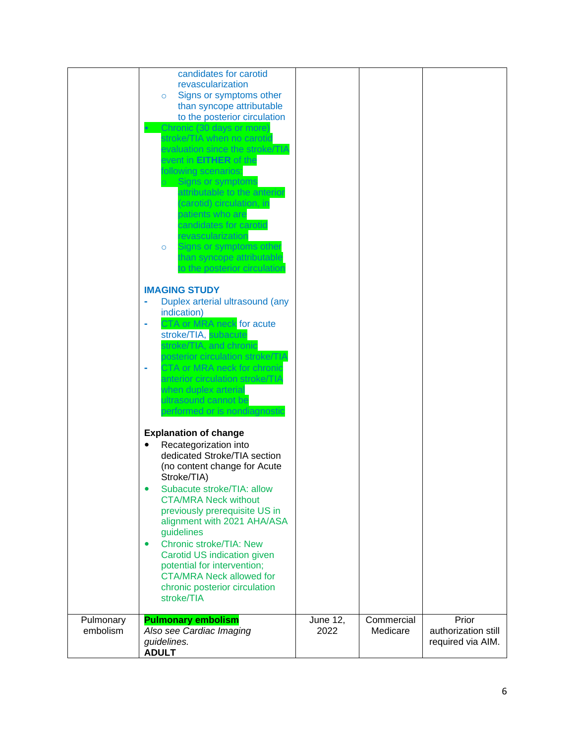|                       | candidates for carotid<br>revascularization<br>Signs or symptoms other<br>$\circ$<br>than syncope attributable<br>to the posterior circulation<br>Chronic (30 days or more)<br>stroke/TIA when no carotid<br>evaluation since the stroke/TIA<br>event in EITHER of the<br>following scenarios:<br>Signs or symptoms<br>attributable to the anterior<br>(carotid) circulation, in<br>patients who are<br>candidates for carotid<br>revascularization<br>Signs or symptoms other<br>$\circ$<br>than syncope attributable |                  |                        |                                                   |
|-----------------------|------------------------------------------------------------------------------------------------------------------------------------------------------------------------------------------------------------------------------------------------------------------------------------------------------------------------------------------------------------------------------------------------------------------------------------------------------------------------------------------------------------------------|------------------|------------------------|---------------------------------------------------|
|                       | to the posterior circulation<br><b>IMAGING STUDY</b><br>Duplex arterial ultrasound (any<br>indication)<br>CTA or MRA neck for acute<br>stroke/TIA, subacute<br>stroke/TIA, and chronic<br>posterior circulation stroke/TIA<br>CTA or MRA neck for chronic<br>anterior circulation stroke/TIA<br>when duplex arterial<br>ultrasound cannot be<br>performed or is nondiagnostic                                                                                                                                          |                  |                        |                                                   |
|                       | <b>Explanation of change</b><br>Recategorization into<br>dedicated Stroke/TIA section<br>(no content change for Acute<br>Stroke/TIA)<br>Subacute stroke/TIA: allow<br><b>CTA/MRA Neck without</b><br>previously prerequisite US in<br>alignment with 2021 AHA/ASA<br>guidelines<br><b>Chronic stroke/TIA: New</b><br>$\bullet$<br>Carotid US indication given<br>potential for intervention;<br><b>CTA/MRA Neck allowed for</b><br>chronic posterior circulation<br>stroke/TIA                                         |                  |                        |                                                   |
| Pulmonary<br>embolism | <b>Pulmonary embolism</b><br>Also see Cardiac Imaging<br>guidelines.<br><b>ADULT</b>                                                                                                                                                                                                                                                                                                                                                                                                                                   | June 12,<br>2022 | Commercial<br>Medicare | Prior<br>authorization still<br>required via AIM. |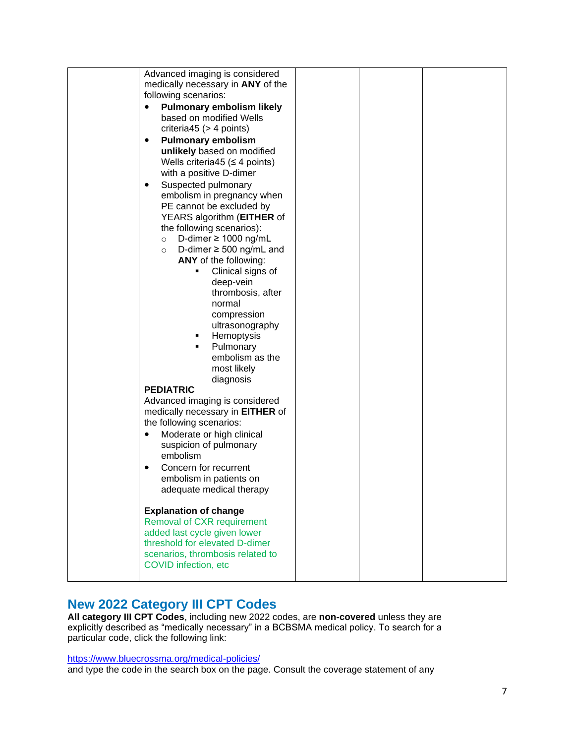| medically necessary in ANY of the<br>following scenarios:<br><b>Pulmonary embolism likely</b><br>based on modified Wells<br>criteria45 ( $>$ 4 points)<br><b>Pulmonary embolism</b><br>$\bullet$<br>unlikely based on modified<br>Wells criteria45 ( $\leq$ 4 points)<br>with a positive D-dimer<br>Suspected pulmonary<br>$\bullet$<br>embolism in pregnancy when<br>PE cannot be excluded by<br>YEARS algorithm (EITHER of<br>the following scenarios):<br>D-dimer $\geq$ 1000 ng/mL<br>$\circ$<br>D-dimer $\geq$ 500 ng/mL and<br>$\circ$<br>ANY of the following:<br>Clinical signs of<br>п<br>deep-vein<br>thrombosis, after<br>normal<br>compression<br>ultrasonography<br>Hemoptysis<br>٠<br>Pulmonary<br>٠<br>embolism as the<br>most likely<br>diagnosis<br><b>PEDIATRIC</b><br>Advanced imaging is considered<br>medically necessary in <b>EITHER</b> of<br>the following scenarios:<br>Moderate or high clinical<br>$\bullet$<br>suspicion of pulmonary<br>embolism<br>Concern for recurrent<br>embolism in patients on<br>adequate medical therapy<br><b>Explanation of change</b><br><b>Removal of CXR requirement</b><br>added last cycle given lower |                                |  |  |
|---------------------------------------------------------------------------------------------------------------------------------------------------------------------------------------------------------------------------------------------------------------------------------------------------------------------------------------------------------------------------------------------------------------------------------------------------------------------------------------------------------------------------------------------------------------------------------------------------------------------------------------------------------------------------------------------------------------------------------------------------------------------------------------------------------------------------------------------------------------------------------------------------------------------------------------------------------------------------------------------------------------------------------------------------------------------------------------------------------------------------------------------------------------------|--------------------------------|--|--|
|                                                                                                                                                                                                                                                                                                                                                                                                                                                                                                                                                                                                                                                                                                                                                                                                                                                                                                                                                                                                                                                                                                                                                                     | Advanced imaging is considered |  |  |
|                                                                                                                                                                                                                                                                                                                                                                                                                                                                                                                                                                                                                                                                                                                                                                                                                                                                                                                                                                                                                                                                                                                                                                     |                                |  |  |
|                                                                                                                                                                                                                                                                                                                                                                                                                                                                                                                                                                                                                                                                                                                                                                                                                                                                                                                                                                                                                                                                                                                                                                     |                                |  |  |
|                                                                                                                                                                                                                                                                                                                                                                                                                                                                                                                                                                                                                                                                                                                                                                                                                                                                                                                                                                                                                                                                                                                                                                     |                                |  |  |
|                                                                                                                                                                                                                                                                                                                                                                                                                                                                                                                                                                                                                                                                                                                                                                                                                                                                                                                                                                                                                                                                                                                                                                     |                                |  |  |
|                                                                                                                                                                                                                                                                                                                                                                                                                                                                                                                                                                                                                                                                                                                                                                                                                                                                                                                                                                                                                                                                                                                                                                     |                                |  |  |
|                                                                                                                                                                                                                                                                                                                                                                                                                                                                                                                                                                                                                                                                                                                                                                                                                                                                                                                                                                                                                                                                                                                                                                     |                                |  |  |
|                                                                                                                                                                                                                                                                                                                                                                                                                                                                                                                                                                                                                                                                                                                                                                                                                                                                                                                                                                                                                                                                                                                                                                     |                                |  |  |
|                                                                                                                                                                                                                                                                                                                                                                                                                                                                                                                                                                                                                                                                                                                                                                                                                                                                                                                                                                                                                                                                                                                                                                     |                                |  |  |
|                                                                                                                                                                                                                                                                                                                                                                                                                                                                                                                                                                                                                                                                                                                                                                                                                                                                                                                                                                                                                                                                                                                                                                     |                                |  |  |
|                                                                                                                                                                                                                                                                                                                                                                                                                                                                                                                                                                                                                                                                                                                                                                                                                                                                                                                                                                                                                                                                                                                                                                     |                                |  |  |
|                                                                                                                                                                                                                                                                                                                                                                                                                                                                                                                                                                                                                                                                                                                                                                                                                                                                                                                                                                                                                                                                                                                                                                     |                                |  |  |
|                                                                                                                                                                                                                                                                                                                                                                                                                                                                                                                                                                                                                                                                                                                                                                                                                                                                                                                                                                                                                                                                                                                                                                     |                                |  |  |
|                                                                                                                                                                                                                                                                                                                                                                                                                                                                                                                                                                                                                                                                                                                                                                                                                                                                                                                                                                                                                                                                                                                                                                     |                                |  |  |
|                                                                                                                                                                                                                                                                                                                                                                                                                                                                                                                                                                                                                                                                                                                                                                                                                                                                                                                                                                                                                                                                                                                                                                     |                                |  |  |
|                                                                                                                                                                                                                                                                                                                                                                                                                                                                                                                                                                                                                                                                                                                                                                                                                                                                                                                                                                                                                                                                                                                                                                     |                                |  |  |
|                                                                                                                                                                                                                                                                                                                                                                                                                                                                                                                                                                                                                                                                                                                                                                                                                                                                                                                                                                                                                                                                                                                                                                     |                                |  |  |
|                                                                                                                                                                                                                                                                                                                                                                                                                                                                                                                                                                                                                                                                                                                                                                                                                                                                                                                                                                                                                                                                                                                                                                     |                                |  |  |
|                                                                                                                                                                                                                                                                                                                                                                                                                                                                                                                                                                                                                                                                                                                                                                                                                                                                                                                                                                                                                                                                                                                                                                     |                                |  |  |
|                                                                                                                                                                                                                                                                                                                                                                                                                                                                                                                                                                                                                                                                                                                                                                                                                                                                                                                                                                                                                                                                                                                                                                     |                                |  |  |
|                                                                                                                                                                                                                                                                                                                                                                                                                                                                                                                                                                                                                                                                                                                                                                                                                                                                                                                                                                                                                                                                                                                                                                     |                                |  |  |
|                                                                                                                                                                                                                                                                                                                                                                                                                                                                                                                                                                                                                                                                                                                                                                                                                                                                                                                                                                                                                                                                                                                                                                     |                                |  |  |
|                                                                                                                                                                                                                                                                                                                                                                                                                                                                                                                                                                                                                                                                                                                                                                                                                                                                                                                                                                                                                                                                                                                                                                     |                                |  |  |
|                                                                                                                                                                                                                                                                                                                                                                                                                                                                                                                                                                                                                                                                                                                                                                                                                                                                                                                                                                                                                                                                                                                                                                     |                                |  |  |
|                                                                                                                                                                                                                                                                                                                                                                                                                                                                                                                                                                                                                                                                                                                                                                                                                                                                                                                                                                                                                                                                                                                                                                     |                                |  |  |
|                                                                                                                                                                                                                                                                                                                                                                                                                                                                                                                                                                                                                                                                                                                                                                                                                                                                                                                                                                                                                                                                                                                                                                     |                                |  |  |
|                                                                                                                                                                                                                                                                                                                                                                                                                                                                                                                                                                                                                                                                                                                                                                                                                                                                                                                                                                                                                                                                                                                                                                     |                                |  |  |
|                                                                                                                                                                                                                                                                                                                                                                                                                                                                                                                                                                                                                                                                                                                                                                                                                                                                                                                                                                                                                                                                                                                                                                     |                                |  |  |
|                                                                                                                                                                                                                                                                                                                                                                                                                                                                                                                                                                                                                                                                                                                                                                                                                                                                                                                                                                                                                                                                                                                                                                     |                                |  |  |
|                                                                                                                                                                                                                                                                                                                                                                                                                                                                                                                                                                                                                                                                                                                                                                                                                                                                                                                                                                                                                                                                                                                                                                     |                                |  |  |
|                                                                                                                                                                                                                                                                                                                                                                                                                                                                                                                                                                                                                                                                                                                                                                                                                                                                                                                                                                                                                                                                                                                                                                     |                                |  |  |
|                                                                                                                                                                                                                                                                                                                                                                                                                                                                                                                                                                                                                                                                                                                                                                                                                                                                                                                                                                                                                                                                                                                                                                     |                                |  |  |
|                                                                                                                                                                                                                                                                                                                                                                                                                                                                                                                                                                                                                                                                                                                                                                                                                                                                                                                                                                                                                                                                                                                                                                     |                                |  |  |
|                                                                                                                                                                                                                                                                                                                                                                                                                                                                                                                                                                                                                                                                                                                                                                                                                                                                                                                                                                                                                                                                                                                                                                     |                                |  |  |
|                                                                                                                                                                                                                                                                                                                                                                                                                                                                                                                                                                                                                                                                                                                                                                                                                                                                                                                                                                                                                                                                                                                                                                     |                                |  |  |
|                                                                                                                                                                                                                                                                                                                                                                                                                                                                                                                                                                                                                                                                                                                                                                                                                                                                                                                                                                                                                                                                                                                                                                     |                                |  |  |
|                                                                                                                                                                                                                                                                                                                                                                                                                                                                                                                                                                                                                                                                                                                                                                                                                                                                                                                                                                                                                                                                                                                                                                     |                                |  |  |
|                                                                                                                                                                                                                                                                                                                                                                                                                                                                                                                                                                                                                                                                                                                                                                                                                                                                                                                                                                                                                                                                                                                                                                     |                                |  |  |
|                                                                                                                                                                                                                                                                                                                                                                                                                                                                                                                                                                                                                                                                                                                                                                                                                                                                                                                                                                                                                                                                                                                                                                     |                                |  |  |
|                                                                                                                                                                                                                                                                                                                                                                                                                                                                                                                                                                                                                                                                                                                                                                                                                                                                                                                                                                                                                                                                                                                                                                     |                                |  |  |
|                                                                                                                                                                                                                                                                                                                                                                                                                                                                                                                                                                                                                                                                                                                                                                                                                                                                                                                                                                                                                                                                                                                                                                     |                                |  |  |
|                                                                                                                                                                                                                                                                                                                                                                                                                                                                                                                                                                                                                                                                                                                                                                                                                                                                                                                                                                                                                                                                                                                                                                     |                                |  |  |
|                                                                                                                                                                                                                                                                                                                                                                                                                                                                                                                                                                                                                                                                                                                                                                                                                                                                                                                                                                                                                                                                                                                                                                     |                                |  |  |
|                                                                                                                                                                                                                                                                                                                                                                                                                                                                                                                                                                                                                                                                                                                                                                                                                                                                                                                                                                                                                                                                                                                                                                     |                                |  |  |
|                                                                                                                                                                                                                                                                                                                                                                                                                                                                                                                                                                                                                                                                                                                                                                                                                                                                                                                                                                                                                                                                                                                                                                     |                                |  |  |
|                                                                                                                                                                                                                                                                                                                                                                                                                                                                                                                                                                                                                                                                                                                                                                                                                                                                                                                                                                                                                                                                                                                                                                     |                                |  |  |
|                                                                                                                                                                                                                                                                                                                                                                                                                                                                                                                                                                                                                                                                                                                                                                                                                                                                                                                                                                                                                                                                                                                                                                     |                                |  |  |
|                                                                                                                                                                                                                                                                                                                                                                                                                                                                                                                                                                                                                                                                                                                                                                                                                                                                                                                                                                                                                                                                                                                                                                     |                                |  |  |
|                                                                                                                                                                                                                                                                                                                                                                                                                                                                                                                                                                                                                                                                                                                                                                                                                                                                                                                                                                                                                                                                                                                                                                     |                                |  |  |
|                                                                                                                                                                                                                                                                                                                                                                                                                                                                                                                                                                                                                                                                                                                                                                                                                                                                                                                                                                                                                                                                                                                                                                     |                                |  |  |
|                                                                                                                                                                                                                                                                                                                                                                                                                                                                                                                                                                                                                                                                                                                                                                                                                                                                                                                                                                                                                                                                                                                                                                     |                                |  |  |
|                                                                                                                                                                                                                                                                                                                                                                                                                                                                                                                                                                                                                                                                                                                                                                                                                                                                                                                                                                                                                                                                                                                                                                     |                                |  |  |
|                                                                                                                                                                                                                                                                                                                                                                                                                                                                                                                                                                                                                                                                                                                                                                                                                                                                                                                                                                                                                                                                                                                                                                     |                                |  |  |
| threshold for elevated D-dimer                                                                                                                                                                                                                                                                                                                                                                                                                                                                                                                                                                                                                                                                                                                                                                                                                                                                                                                                                                                                                                                                                                                                      |                                |  |  |
|                                                                                                                                                                                                                                                                                                                                                                                                                                                                                                                                                                                                                                                                                                                                                                                                                                                                                                                                                                                                                                                                                                                                                                     |                                |  |  |
| scenarios, thrombosis related to                                                                                                                                                                                                                                                                                                                                                                                                                                                                                                                                                                                                                                                                                                                                                                                                                                                                                                                                                                                                                                                                                                                                    |                                |  |  |
| COVID infection, etc                                                                                                                                                                                                                                                                                                                                                                                                                                                                                                                                                                                                                                                                                                                                                                                                                                                                                                                                                                                                                                                                                                                                                |                                |  |  |
|                                                                                                                                                                                                                                                                                                                                                                                                                                                                                                                                                                                                                                                                                                                                                                                                                                                                                                                                                                                                                                                                                                                                                                     |                                |  |  |

## **New 2022 Category III CPT Codes**

**All category III CPT Codes**, including new 2022 codes, are **non-covered** unless they are explicitly described as "medically necessary" in a BCBSMA medical policy. To search for a particular code, click the following link:

#### <https://www.bluecrossma.org/medical-policies/>

and type the code in the search box on the page. Consult the coverage statement of any